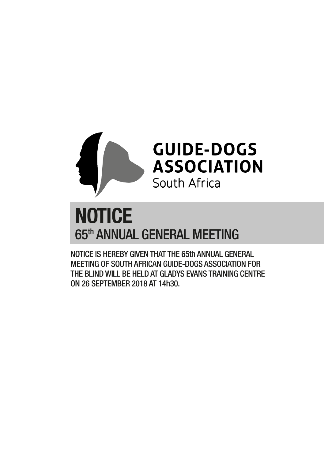

# **NOTICE** 65th ANNUAL GENERAL MEETING

NOTICE IS HEREBY GIVEN THAT THE 65th ANNUAL GENERAL MEETING OF SOUTH AFRICAN GUIDE-DOGS ASSOCIATION FOR THE BLIND WILL BE HELD AT GLADYS EVANS TRAINING CENTRE ON 26 SEPTEMBER 2018 AT 14h30.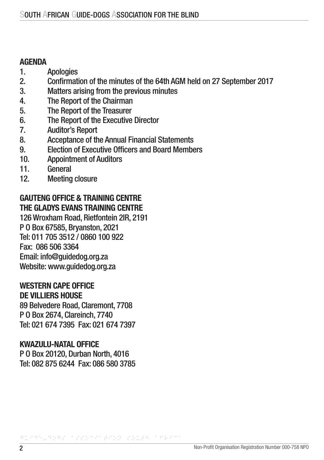## AGENDA

- 1. Apologies
- 2. Confirmation of the minutes of the 64th AGM held on 27 September 2017<br>3. Matters arising from the previous minutes
- 3. Matters arising from the previous minutes
- 4. The Report of the Chairman
- 5. The Report of the Treasurer
- 6. The Report of the Executive Director
- 7. Auditor's Report
- 8. Acceptance of the Annual Financial Statements
- 9. Election of Executive Officers and Board Members
- 10. Appointment of Auditors
- 11. General
- 12. Meeting closure

# GAUTENG OFFICE & TRAINING CENTRE THE GLADYS EVANS TRAINING CENTRE

126 Wroxham Road, Rietfontein 2IR, 2191 P O Box 67585, Bryanston, 2021 Tel: 011 705 3512 / 0860 100 922 Fax: 086 506 3364 Email: info@guidedog.org.za Website: www.guidedog.org.za

### WESTERN CAPE OFFICE DE VILLIERS HOUSE

89 Belvedere Road, Claremont, 7708 P O Box 2674, Clareinch, 7740 Tel: 021 674 7395 Fax: 021 674 7397

# KWAZULU-NATAL OFFICE

P O Box 20120, Durban North, 4016 Tel: 082 875 6244 Fax: 086 580 3785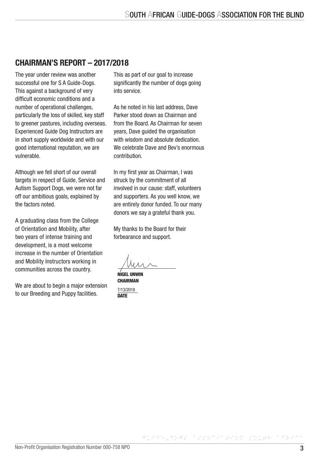## CHAIRMAN'S REPORT – 2017/2018

The year under review was another successful one for S A Guide-Dogs. This against a background of very difficult economic conditions and a number of operational challenges, particularly the loss of skilled, key staff to greener pastures, including overseas. Experienced Guide Dog Instructors are in short supply worldwide and with our good international reputation, we are vulnerable.

Although we fell short of our overall targets in respect of Guide, Service and Autism Support Dogs, we were not far off our ambitious goals, explained by the factors noted.

A graduating class from the College of Orientation and Mobility, after two years of intense training and development, is a most welcome increase in the number of Orientation and Mobility Instructors working in communities across the country.

We are about to begin a major extension to our Breeding and Puppy facilities.

This as part of our goal to increase significantly the number of dogs going into service.

As he noted in his last address, Dave Parker stood down as Chairman and from the Board. As Chairman for seven years, Dave guided the organisation with wisdom and absolute dedication. We celebrate Dave and Bev's enormous contribution.

In my first year as Chairman, I was struck by the commitment of all involved in our cause: staff, volunteers and supporters. As you well know, we are entirely donor funded. To our many donors we say a grateful thank you.

My thanks to the Board for their forbearance and support.

NIGEL UNWIN **CHAIRMAN** 7/13/2018 **DATE**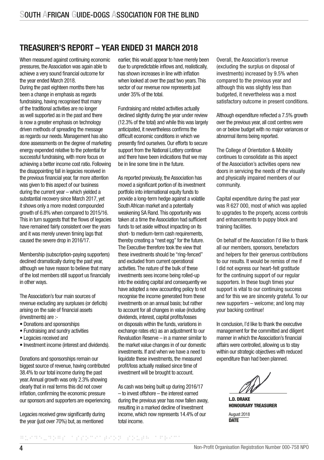## TREASURER'S REPORT – YEAR ENDED 31 MARCH 2018

When measured against continuing economic pressures, the Association was again able to achieve a very sound financial outcome for the year ended March 2018.

During the past eighteen months there has been a change in emphasis as regards fundraising, having recognised that many of the traditional activities are no longer as well supported as in the past and there is now a greater emphasis on technology driven methods of spreading the message as regards our needs. Management has also done assessments on the degree of marketing energy expended relative to the potential for successful fundraising, with more focus on achieving a better income cost ratio. Following the disappointing fall in legacies received in the previous financial year, far more attention was given to this aspect of our business during the current year – which yielded a substantial recovery since March 2017, yet it shows only a more modest compounded growth of 6.8% when compared to 2015/16. This in turn suggests that the flows of legacies have remained fairly consistent over the years and it was merely uneven timing lags that caused the severe drop in 2016/17.

Membership (subscription-paying supporters) declined dramatically during the past year, although we have reason to believe that many of the lost members still support us financially in other ways.

The Association's four main sources of revenue excluding any surpluses (or deficits) arising on the sale of financial assets (investments) are :-

- Donations and sponsorships
- Fundraising and sundry activities
- Legacies received and
- Investment income (interest and dividends).

Donations and sponsorships remain our biggest source of revenue, having contributed 38.4% to our total income during the past year. Annual growth was only 2.3% showing clearly that in real terms this did not cover inflation, confirming the economic pressure our sponsors and supporters are experiencing.

Legacies received grew significantly during the year (just over 70%) but, as mentioned

earlier, this would appear to have merely been due to unpredictable inflows and, realistically, has shown increases in line with inflation when looked at over the past two years. This sector of our revenue now represents just under 35% of the total.

Fundraising and related activities actually declined slightly during the year under review (12.3% of the total) and while this was largely anticipated, it nevertheless confirms the difficult economic conditions in which we presently find ourselves. Our efforts to secure support from the National Lottery continue and there have been indications that we may be in line some time in the future.

As reported previously, the Association has moved a significant portion of its investment portfolio into international equity funds to provide a long-term hedge against a volatile South African market and a potentially weakening SA Rand. This opportunity was taken at a time the Association had sufficient funds to set aside without impacting on its short- to medium-term cash requirements, thereby creating a "nest egg" for the future. The Executive therefore took the view that these investments should be "ring-fenced" and excluded from current operational activities. The nature of the bulk of these investments sees income being rolled-up into the existing capital and consequently we have adopted a new accounting policy to not recognise the income generated from these investments on an annual basis; but rather to account for all changes in value (including dividends, interest, capital profits/losses on disposals within the funds, variations in exchange rates etc) as an adjustment to our Revaluation Reserve – in a manner similar to the market value changes in of our domestic investments. If and when we have a need to liquidate these investments, the measured profit/loss actually realised since time of investment will be brought to account.

As cash was being built up during 2016/17 – to invest offshore – the interest earned during the previous year has now fallen away, resulting in a marked decline of Investment income, which now represents 14.4% of our total income.

Overall, the Association's revenue (excluding the surplus on disposal of investments) increased by 9.5% when compared to the previous year and although this was slightly less than budgeted, it nevertheless was a most satisfactory outcome in present conditions.

Although expenditure reflected a 7.5% growth over the previous year, all cost centres were on or below budget with no major variances or abnormal items being reported.

The College of Orientation & Mobility continues to consolidate as this aspect of the Association's activities opens new doors in servicing the needs of the visually and physically impaired members of our community.

Capital expenditure during the past year was R 627 000, most of which was applied to upgrades to the property, access controls and enhancements to puppy block and training facilities.

On behalf of the Association I'd like to thank all our members, sponsors, benefactors and helpers for their generous contributions to our results. It would be remiss of me if I did not express our heart-felt gratitude for the continuing support of our regular supporters. In these tough times your support is vital to our continuing success and for this we are sincerely grateful. To our new supporters – welcome; and long may your backing continue!

In conclusion, I'd like to thank the executive management for the committed and diligent manner in which the Association's financial affairs were controlled, allowing us to stay within our strategic objectives with reduced expenditure than had been planned.

L.D. DRAKE HONOURARY TREASURER August 2018

**DATE**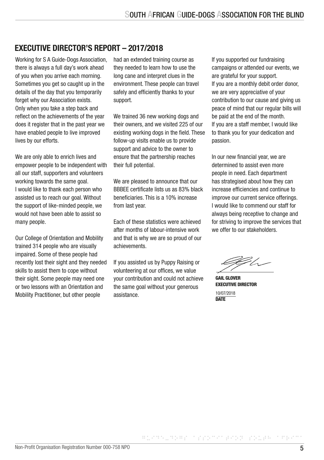# EXECUTIVE DIRECTOR'S REPORT – 2017/2018

Working for S A Guide-Dogs Association, there is always a full day's work ahead of you when you arrive each morning. Sometimes you get so caught up in the details of the day that you temporarily forget why our Association exists. Only when you take a step back and reflect on the achievements of the year does it register that in the past year we have enabled people to live improved lives by our efforts.

We are only able to enrich lives and empower people to be independent with all our staff, supporters and volunteers working towards the same goal. I would like to thank each person who assisted us to reach our goal. Without the support of like-minded people, we would not have been able to assist so many people.

Our College of Orientation and Mobility trained 314 people who are visually impaired. Some of these people had recently lost their sight and they needed skills to assist them to cope without their sight. Some people may need one or two lessons with an Orientation and Mobility Practitioner, but other people

had an extended training course as they needed to learn how to use the long cane and interpret clues in the environment. These people can travel safely and efficiently thanks to your support.

We trained 36 new working dogs and their owners, and we visited 225 of our existing working dogs in the field. These follow-up visits enable us to provide support and advice to the owner to ensure that the partnership reaches their full potential.

We are pleased to announce that our BBBEE certificate lists us as 83% black beneficiaries. This is a 10% increase from last year.

Each of these statistics were achieved after months of labour-intensive work and that is why we are so proud of our achievements.

If you assisted us by Puppy Raising or volunteering at our offices, we value your contribution and could not achieve the same goal without your generous assistance.

If you supported our fundraising campaigns or attended our events, we are grateful for your support. If you are a monthly debit order donor, we are very appreciative of your contribution to our cause and giving us peace of mind that our regular bills will be paid at the end of the month. If you are a staff member, I would like to thank you for your dedication and passion.

In our new financial year, we are determined to assist even more people in need. Each department has strategised about how they can increase efficiencies and continue to improve our current service offerings. I would like to commend our staff for always being receptive to change and for striving to improve the services that we offer to our stakeholders.

AU

GAIL GLOVER EXECUTIVE DIRECTOR 10/07/2018 **DATE**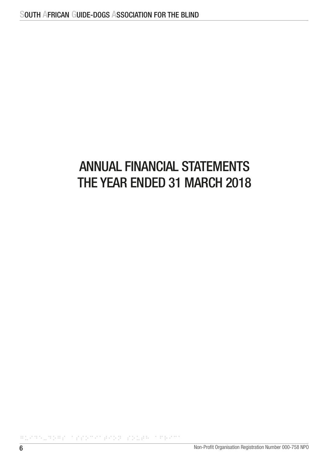# ANNUAL FINANCIAL STATEMENTS THE YEAR ENDED 31 MARCH 2018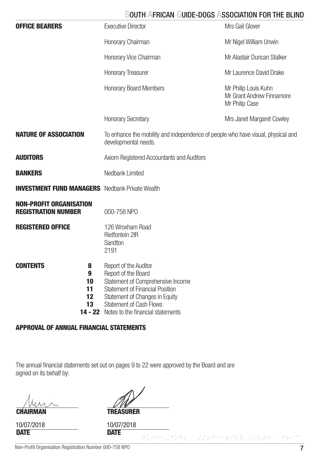# SOUTH AFRICAN GUIDE-DOGS ASSOCIATION FOR THE BLIND

| <b>OFFICE BEARERS</b>                                        | <b>Executive Director</b>                                                                                                                                                                                                                    | Mrs Gail Glover                                                     |  |  |
|--------------------------------------------------------------|----------------------------------------------------------------------------------------------------------------------------------------------------------------------------------------------------------------------------------------------|---------------------------------------------------------------------|--|--|
|                                                              | Honorary Chairman                                                                                                                                                                                                                            | Mr Nigel William Unwin                                              |  |  |
|                                                              | Honorary Vice Chairman                                                                                                                                                                                                                       | Mr Alastair Duncan Stalker                                          |  |  |
|                                                              | <b>Honorary Treasurer</b>                                                                                                                                                                                                                    | Mr Laurence David Drake                                             |  |  |
|                                                              | Honorary Board Members                                                                                                                                                                                                                       | Mr Philip Louis Kuhn<br>Mr Grant Andrew Finnamore<br>Mr Philip Case |  |  |
|                                                              | <b>Honorary Secretary</b>                                                                                                                                                                                                                    | Mrs Janet Margaret Cowley                                           |  |  |
| <b>NATURE OF ASSOCIATION</b>                                 | To enhance the mobility and independence of people who have visual, physical and<br>developmental needs.                                                                                                                                     |                                                                     |  |  |
| <b>AUDITORS</b>                                              | Axiom Registered Accountants and Auditors                                                                                                                                                                                                    |                                                                     |  |  |
| <b>BANKERS</b>                                               | Nedbank Limited                                                                                                                                                                                                                              |                                                                     |  |  |
| <b>INVESTMENT FUND MANAGERS</b> Nedbank Private Wealth       |                                                                                                                                                                                                                                              |                                                                     |  |  |
| <b>NON-PROFIT ORGANISATION</b><br><b>REGISTRATION NUMBER</b> | 000-758 NPO                                                                                                                                                                                                                                  |                                                                     |  |  |
| <b>REGISTERED OFFICE</b>                                     | 126 Wroxham Road<br><b>Rietfontein 2IR</b><br>Sandton<br>2191                                                                                                                                                                                |                                                                     |  |  |
| <b>CONTENTS</b><br>8<br>9<br>10<br>11<br>12<br>13            | Report of the Auditor<br>Report of the Board<br>Statement of Comprehensive Income<br>Statement of Financial Position<br>Statement of Changes in Equity<br><b>Statement of Cash Flows</b><br><b>14 - 22</b> Notes to the financial statements |                                                                     |  |  |

## APPROVAL OF ANNUAL FINANCIAL STATEMENTS

The annual financial statements set out on pages 9 to 22 were approved by the Board and are signed on its behalf by:

**CHAIRMAN** 

**DATE** 10/07/2018

TREASURER

**DATE** 10/07/2018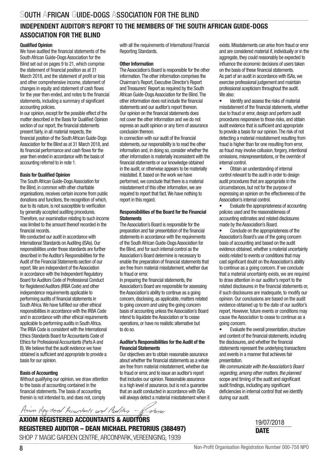## INDEPENDENT AUDITOR'S REPORT TO THE MEMBERS OF THE SOUTH AFRICAN GUIDE-DOGS ASSOCIATION FOR THE BLIND

#### Qualified Opinion

We have audited the financial statements of the South African Guide-Dogs Association for the Blind set out on pages 9 to 21, which comprise the statement of financial position as at 31 March 2018, and the statement of profit or loss and other comprehensive income, statement of changes in equity and statement of cash flows for the year then ended, and notes to the financial statements, including a summary of significant accounting policies.

In our opinion, except for the possible effect of the matter described in the Basis for Qualified Opinion section of our report, the financial statements present fairly, in all material respects, the financial position of the South African Guide-Dogs Association for the Blind as at 31 March 2018, and its financial performance and cash flows for the year then ended in accordance with the basis of accounting referred to in note 1.

#### Basis for Qualified Opinion

The South African Guide-Dogs Association for the Blind, in common with other charitable organisations, receives certain income from public donations and functions, the recognition of which, due to its nature, is not susceptible to verification by generally accepted auditing procedures. Therefore, our examination relating to such income was limited to the amount thereof recorded in the financial records.

We conducted our audit in accordance with International Standards on Auditing (ISAs). Our responsibilities under those standards are further described in the Auditor's Responsibilities for the Audit of the Financial Statements section of our report. We are independent of the Association in accordance with the Independent Regulatory Board for Auditors Code of Professional Conduct for Registered Auditors (IRBA Code) and other independence requirements applicable to performing audits of financial statements in South Africa. We have fulfilled our other ethical responsibilities in accordance with the IRBA Code and in accordance with other ethical requirements applicable to performing audits in South Africa. The IRBA Code is consistent with the International Ethics Standards Board for Accountants Code of Ethics for Professional Accountants (Parts A and B). We believe that the audit evidence we have obtained is sufficient and appropriate to provide a basis for our opinion.

#### Basis of Accounting

Without qualifying our opinion, we draw attention to the basis of accounting contained in the financial statements. The basis of accounting therein is not intended to, and does not, comply

Axion Registered Accuratorts and Auditors -

with all the requirements of International Financial Reporting Standards.

#### Other Information

The Association's Board is responsible for the other information. The other information comprises the Chairman's Report, Executive Director's Report and Treasurers' Report as required by the South African Guide-Dogs Association for the Blind. The other information does not include the financial statements and our auditor's report thereon. Our opinion on the financial statements does not cover the other information and we do not express an audit opinion or any form of assurance conclusion thereon.

In connection with our audit of the financial statements, our responsibility is to read the other information and, in doing so, consider whether the other information is materially inconsistent with the financial statements or our knowledge obtained in the audit, or otherwise appears to be materially misstated. If, based on the work we have performed, we conclude that there is a material misstatement of this other information, we are required to report that fact. We have nothing to report in this regard.

#### Responsibilities of the Board for the Financial **Statements**

The Association's Board is responsible for the preparation and fair presentation of the financial statements in accordance with the requirements of the South African Guide-Dogs Association for the Blind, and for such internal control as the Association's Board determine is necessary to enable the preparation of financial statements that are free from material misstatement, whether due to fraud or error.

In preparing the financial statements, the Association's Board are responsible for assessing the Association's ability to continue as a going concern, disclosing, as applicable, matters related to going concern and using the going concern basis of accounting unless the Association's Board intend to liquidate the Association or to cease operations, or have no realistic alternative but to do so.

#### Auditor's Responsibilities for the Audit of the Financial Statements

Our objectives are to obtain reasonable assurance about whether the financial statements as a whole are free from material misstatement, whether due to fraud or error, and to issue an auditor's report that includes our opinion. Reasonable assurance is a high level of assurance, but is not a guarantee that an audit conducted in accordance with ISAs will always detect a material misstatement when it

-etanu

exists. Misstatements can arise from fraud or error and are considered material if, individually or in the aggregate, they could reasonably be expected to influence the economic decisions of users taken on the basis of these financial statements. As part of an audit in accordance with ISAs, we exercise professional judgement and maintain professional scepticism throughout the audit. We also:

• Identify and assess the risks of material misstatement of the financial statements, whether due to fraud or error, design and perform audit procedures responsive to those risks, and obtain audit evidence that is sufficient and appropriate to provide a basis for our opinion. The risk of not detecting a material misstatement resulting from fraud is higher than for one resulting from error. as fraud may involve collusion, forgery, intentional omissions, misrepresentations, or the override of internal control.

• Obtain an understanding of internal control relevant to the audit in order to design audit procedures that are appropriate in the circumstances, but not for the purpose of expressing an opinion on the effectiveness of the Association's internal control.

• Evaluate the appropriateness of accounting policies used and the reasonableness of accounting estimates and related disclosures made by the Association's Board.

• Conclude on the appropriateness of the Association's Board's use of the going concern basis of accounting and based on the audit evidence obtained, whether a material uncertainty exists related to events or conditions that may cast significant doubt on the Association's ability to continue as a going concern. If we conclude that a material uncertainty exists, we are required to draw attention in our auditor's report to the related disclosures in the financial statements or, if such disclosures are inadequate, to modify our opinion. Our conclusions are based on the audit evidence obtained up to the date of our auditor's report. However, future events or conditions may cause the Association to cease to continue as a going concern.

• Evaluate the overall presentation, structure and content of the financial statements, including the disclosures, and whether the financial statements represent the underlying transactions and events in a manner that achieves fair presentation.

*We communicate with the Association's Board regarding, among other matters, the planned*  scope and timing of the audit and significant audit findings, including any significant deficiencies in internal control that we identify during our audit.

**DATE**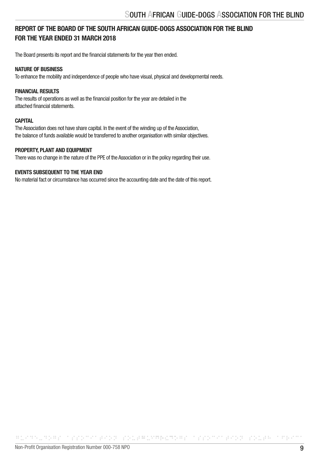## REPORT OF THE BOARD OF THE SOUTH AFRICAN GUIDE-DOGS ASSOCIATION FOR THE BLIND FOR THE YEAR ENDED 31 MARCH 2018

The Board presents its report and the financial statements for the year then ended.

#### NATURE OF BUSINESS

To enhance the mobility and independence of people who have visual, physical and developmental needs.

#### FINANCIAL RESULTS

The results of operations as well as the financial position for the year are detailed in the attached financial statements.

#### **CAPITAL**

The Association does not have share capital. In the event of the winding up of the Association, the balance of funds available would be transferred to another organisation with similar objectives.

#### PROPERTY, PLANT AND EQUIPMENT

There was no change in the nature of the PPE of the Association or in the policy regarding their use.

#### EVENTS SUBSEQUENT TO THE YEAR END

No material fact or circumstance has occurred since the accounting date and the date of this report.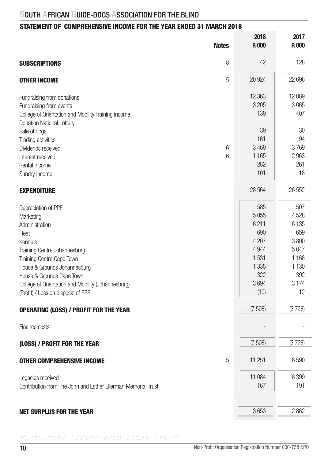# SOUTH AFRICAN GUIDE-DOGS ASSOCIATION FOR THE BLIND

## STATEMENT OF COMPREHENSIVE INCOME FOR THE YEAR ENDED 31 MARCH 2018

| <b>Notes</b>                                                                                                                                                                                                                                                                                 | 2018<br>R 000                                                                                | 2017<br><b>R000</b>                                                                      |
|----------------------------------------------------------------------------------------------------------------------------------------------------------------------------------------------------------------------------------------------------------------------------------------------|----------------------------------------------------------------------------------------------|------------------------------------------------------------------------------------------|
| 8<br><b>SUBSCRIPTIONS</b>                                                                                                                                                                                                                                                                    | 42                                                                                           | 128                                                                                      |
| 5<br><b>OTHER INCOME</b>                                                                                                                                                                                                                                                                     | 20 9 24                                                                                      | 22 696                                                                                   |
| Fundraising from donations<br>Fundraising from events<br>College of Orientation and Mobility Training income<br>Donation National Lottery<br>Sale of dogs<br>Trading activities                                                                                                              | 12 3 63<br>3 2 0 5<br>139<br>39<br>161                                                       | 12089<br>3065<br>407<br>30<br>94                                                         |
| 6<br>Dividends received<br>6<br>Interest received<br>Rental income<br>Sundry income                                                                                                                                                                                                          | 3 4 6 9<br>1 1 6 5<br>282<br>101                                                             | 3769<br>2963<br>261<br>18                                                                |
| <b>EXPENDITURE</b>                                                                                                                                                                                                                                                                           | 28 5 64                                                                                      | 26 552                                                                                   |
| Depreciation of PPE<br>Marketing<br>Administration<br>Fleet<br>Kennels<br>Training Centre Johannesburg<br>Training Centre Cape Town<br>House & Grounds Johannesburg<br>House & Grounds Cape Town<br>College of Orientation and Mobility (Johannesburg)<br>(Profit) / Loss on disposal of PPE | 585<br>5055<br>6 211<br>690<br>4 207<br>4 9 4 4<br>1 5 3 1<br>1 3 3 5<br>322<br>3694<br>(10) | 507<br>4528<br>6 1 3 5<br>659<br>3800<br>5047<br>1 1 6 8<br>1 1 3 0<br>392<br>3174<br>12 |
| <b>OPERATING (LOSS) / PROFIT FOR THE YEAR</b>                                                                                                                                                                                                                                                | (7598)                                                                                       | (3728)                                                                                   |
| Finance costs                                                                                                                                                                                                                                                                                |                                                                                              |                                                                                          |
| (LOSS) / PROFIT FOR THE YEAR                                                                                                                                                                                                                                                                 | (7598)                                                                                       | (3728)                                                                                   |
| 5<br><b>OTHER COMPREHENSIVE INCOME</b>                                                                                                                                                                                                                                                       | 11 251                                                                                       | 6590                                                                                     |
| Legacies received<br>Contribution from The John and Esther Ellerman Memorial Trust                                                                                                                                                                                                           | 11 084<br>167                                                                                | 6 3 9 9<br>191                                                                           |
| <b>NET SURPLUS FOR THE YEAR</b>                                                                                                                                                                                                                                                              | 3653                                                                                         | 2862                                                                                     |
|                                                                                                                                                                                                                                                                                              |                                                                                              |                                                                                          |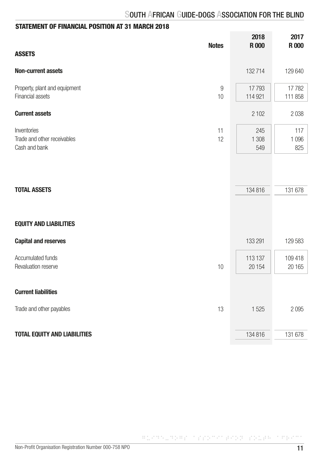## STATEMENT OF FINANCIAL POSITION AT 31 MARCH 2018

| <b>Notes</b>                                                            | 2018<br><b>R000</b> | 2017<br><b>R000</b>   |
|-------------------------------------------------------------------------|---------------------|-----------------------|
| <b>ASSETS</b>                                                           |                     |                       |
| Non-current assets                                                      | 132714              | 129 640               |
| Property, plant and equipment<br>9<br>Financial assets<br>10            | 17793<br>114 921    | 17782<br>111 858      |
| <b>Current assets</b>                                                   | 2 1 0 2             | 2038                  |
| Inventories<br>11<br>Trade and other receivables<br>12<br>Cash and bank | 245<br>1 308<br>549 | 117<br>1 0 9 6<br>825 |
| <b>TOTAL ASSETS</b>                                                     | 134 816             | 131 678               |
| <b>EQUITY AND LIABILITIES</b>                                           |                     |                       |
| <b>Capital and reserves</b>                                             | 133 291             | 129 583               |
| Accumulated funds<br>Revaluation reserve<br>10                          | 113 137<br>20 154   | 109 418<br>20 165     |
| <b>Current liabilities</b>                                              |                     |                       |
| Trade and other payables<br>13                                          | 1525                | 2095                  |
| <b>TOTAL EQUITY AND LIABILITIES</b>                                     | 134 816             | 131 678               |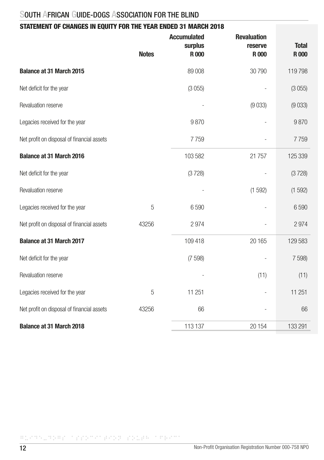# SOUTH AFRICAN GUIDE-DOGS ASSOCIATION FOR THE BLIND

# Accumulated Revaluation surplus **reserve** Total Notes R 000 R 000 R 000 **Balance at 31 March 2015 89 008** 30 790 119 798 Net deficit for the year (3 055) - (3 055) Revaluation reserve - (9 033) (9 033) Legacies received for the year 9 870 9870 9870 Net profit on disposal of financial assets 7 759 - 7 759 **Balance at 31 March 2016** 103 582 103 582 21 757 125 339 Net deficit for the year (3 728) (3 728) (3 728) Revaluation reserve the contract of the contract of the contract of the contract of the contract of the contract of the contract of the contract of the contract of the contract of the contract of the contract of the contra Legacies received for the year 5 6 590 - 6 590 Net profit on disposal of financial assets 43256 2 974 2 974 2 974 **Balance at 31 March 2017** 2018 2018 2018 109 418 2018 2016 2016 2016 2016 2016 129 583 Net deficit for the year (7 598) - 7 598) Revaluation reserve (11) (11) (11) (11) (11) Legacies received for the year 5 11 251 1251 - 11 251 Net profit on disposal of financial assets 43256 66 66 66 Financial assets 66  $\overline{66}$ **Balance at 31 March 2018** 113 137 113 137 20 154 133 291 STATEMENT OF CHANGES IN EQUITY FOR THE YEAR ENDED 31 MARCH 2018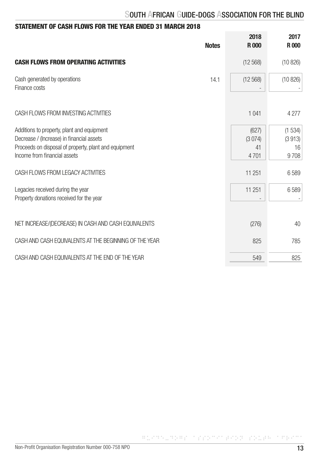# SOUTH AFRICAN GUIDE-DOGS ASSOCIATION FOR THE BLIND

## STATEMENT OF CASH FLOWS FOR THE YEAR ENDED 31 MARCH 2018

| <b>Notes</b>                                                                                                                                                                     | 2018<br><b>R000</b>           | 2017<br><b>R000</b>            |
|----------------------------------------------------------------------------------------------------------------------------------------------------------------------------------|-------------------------------|--------------------------------|
| <b>CASH FLOWS FROM OPERATING ACTIVITIES</b>                                                                                                                                      | (12 568)                      | (10826)                        |
| Cash generated by operations<br>14.1<br>Finance costs                                                                                                                            | (12 568)                      | (10826)                        |
| CASH FLOWS FROM INVESTING ACTIVITIES                                                                                                                                             | 1 0 4 1                       | 4 2 7 7                        |
| Additions to property, plant and equipment<br>Decrease / (Increase) in financial assets<br>Proceeds on disposal of property, plant and equipment<br>Income from financial assets | (627)<br>(3074)<br>41<br>4701 | (1534)<br>(3913)<br>16<br>9708 |
| CASH FLOWS FROM LEGACY ACTIVITIES                                                                                                                                                | 11 251                        | 6589                           |
| Legacies received during the year<br>Property donations received for the year                                                                                                    | 11 251                        | 6589                           |
| NET INCREASE/(DECREASE) IN CASH AND CASH EQUIVALENTS                                                                                                                             | (276)                         | 40                             |
| CASH AND CASH EQUIVALENTS AT THE BEGINNING OF THE YEAR                                                                                                                           | 825                           | 785                            |
| CASH AND CASH EQUIVALENTS AT THE END OF THE YEAR                                                                                                                                 | 549                           | 825                            |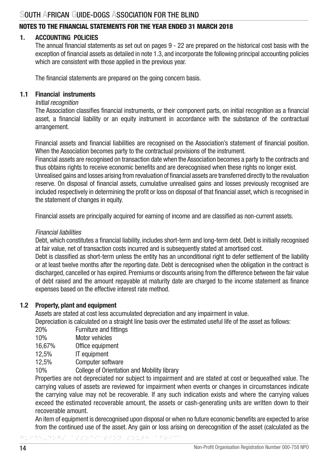## NOTES TO THE FINANCIAL STATEMENTS FOR THE YEAR ENDED 31 MARCH 2018

### 1. ACCOUNTING POLICIES

 The annual financial statements as set out on pages 9 - 22 are prepared on the historical cost basis with the exception of financial assets as detailed in note 1.3, and incorporate the following principal accounting policies which are consistent with those applied in the previous year.

The financial statements are prepared on the going concern basis.

#### 1.1 Financial instruments

#### *Initial recognition*

 The Association classifies financial instruments, or their component parts, on initial recognition as a financial asset, a financial liability or an equity instrument in accordance with the substance of the contractual arrangement.

 Financial assets and financial liabilities are recognised on the Association's statement of financial position. When the Association becomes party to the contractual provisions of the instrument.

 Financial assets are recognised on transaction date when the Association becomes a party to the contracts and thus obtains rights to receive economic benefits and are derecognised when these rights no longer exist.

 Unrealised gains and losses arising from revaluation of financial assets are transferred directly to the revaluation reserve. On disposal of financial assets, cumulative unrealised gains and losses previously recognised are included respectively in determining the profit or loss on disposal of that financial asset, which is recognised in the statement of changes in equity.

Financial assets are principally acquired for earning of income and are classified as non-current assets.

#### *Financial liabilities*

 Debt, which constitutes a financial liability, includes short-term and long-term debt. Debt is initially recognised at fair value, net of transaction costs incurred and is subsequently stated at amortised cost.

 Debt is classified as short-term unless the entity has an unconditional right to defer settlement of the liability or at least twelve months after the reporting date. Debt is derecognised when the obligation in the contract is discharged, cancelled or has expired. Premiums or discounts arising from the difference between the fair value of debt raised and the amount repayable at maturity date are charged to the income statement as finance expenses based on the effective interest rate method.

#### 1.2 Property, plant and equipment

Assets are stated at cost less accumulated depreciation and any impairment in value.

Depreciation is calculated on a straight line basis over the estimated useful life of the asset as follows:

- 20% Furniture and fittings
- 10% Motor vehicles
- 16,67% Office equipment
- 12,5% IT equipment
- 12,5% Computer software
- 10% College of Orientation and Mobility library

 Properties are not depreciated nor subject to impairment and are stated at cost or bequeathed value. The carrying values of assets are reviewed for impairment when events or changes in circumstances indicate the carrying value may not be recoverable. If any such indication exists and where the carrying values exceed the estimated recoverable amount, the assets or cash-generating units are written down to their recoverable amount.

An item of equipment is derecognised upon disposal or when no future economic benefits are expected to arise from the continued use of the asset. Any gain or loss arising on derecognition of the asset (calculated as the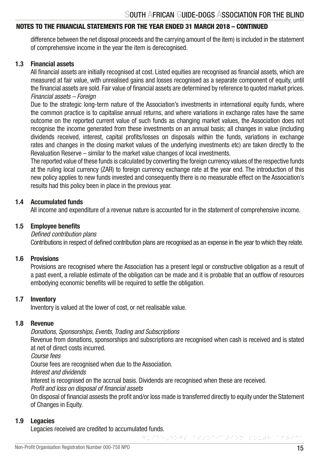## NOTES TO THE FINANCIAL STATEMENTS FOR THE YEAR ENDED 31 MARCH 2018 – CONTINUED

difference between the net disposal proceeds and the carrying amount of the item) is included in the statement of comprehensive income in the year the item is derecognised.

#### 1.3 Financial assets

All financial assets are initially recognised at cost. Listed equities are recognised as financial assets, which are measured at fair value, with unrealised gains and losses recognised as a separate component of equity, until the financial assets are sold. Fair value of financial assets are determined by reference to quoted market prices. *Financial assets – Foreign*

Due to the strategic long-term nature of the Association's investments in international equity funds, where the common practice is to capitalise annual returns, and where variations in exchange rates have the same outcome on the reported current value of such funds as changing market values, the Association does not recognise the income generated from these investments on an annual basis; all changes in value (including dividends received, interest, capital profits/losses on disposals within the funds, variations in exchange rates and changes in the closing market values of the underlying investments etc) are taken directly to the Revaluation Reserve – similar to the market value changes of local investments.

The reported value of these funds is calculated by converting the foreign currency values of the respective funds at the ruling local currency (ZAR) to foreign currency exchange rate at the year end. The introduction of this new policy applies to new funds invested and consequently there is no measurable effect on the Association's results had this policy been in place in the previous year.

#### 1.4 Accumulated funds

All income and expenditure of a revenue nature is accounted for in the statement of comprehensive income.

#### 1.5 Employee benefits

#### *Defined contribution plans*

Contributions in respect of defined contribution plans are recognised as an expense in the year to which they relate.

#### 1.6 Provisions

Provisions are recognised where the Association has a present legal or constructive obligation as a result of a past event, a reliable estimate of the obligation can be made and it is probable that an outflow of resources embodying economic benefits will be required to settle the obligation.

#### 1.7 Inventory

Inventory is valued at the lower of cost, or net realisable value.

#### 1.8 Revenue

*Donations, Sponsorships, Events, Trading and Subscriptions*

Revenue from donations, sponsorships and subscriptions are recognised when cash is received and is stated at net of direct costs incurred.

*Course fees*

Course fees are recognised when due to the Association.

*Interest and dividends*

Interest is recognised on the accrual basis. Dividends are recognised when these are received.

*Profit and loss on disposal of financial assets*

 On disposal of financial assests the profit and/or loss made is transferred directly to equity under the Statement of Changes in Equity.

#### 1.9 Legacies

Legacies received are credited to accumulated funds.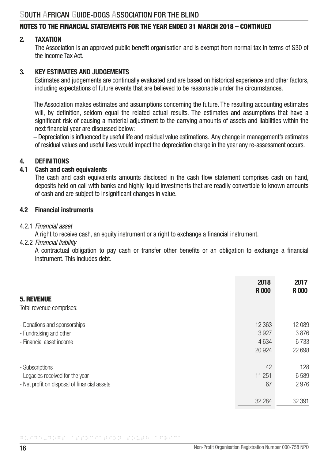#### NOTES TO THE FINANCIAL STATEMENTS FOR THE YEAR ENDED 31 MARCH 2018 – CONTINUED

#### 2. TAXATION

 The Association is an approved public benefit organisation and is exempt from normal tax in terms of S30 of the Income Tax Act.

#### 3. KEY ESTIMATES AND JUDGEMENTS

Estimates and judgements are continually evaluated and are based on historical experience and other factors, including expectations of future events that are believed to be reasonable under the circumstances.

The Association makes estimates and assumptions concerning the future. The resulting accounting estimates will, by definition, seldom equal the related actual results. The estimates and assumptions that have a significant risk of causing a material adjustment to the carrying amounts of assets and liabilities within the next financial year are discussed below:

– Depreciation is influenced by useful life and residual value estimations. Any change in management's estimates of residual values and useful lives would impact the depreciation charge in the year any re-assessment occurs.

#### 4. DEFINITIONS

#### 4.1 Cash and cash equivalents

The cash and cash equivalents amounts disclosed in the cash flow statement comprises cash on hand, deposits held on call with banks and highly liquid investments that are readily convertible to known amounts of cash and are subject to insignificant changes in value.

#### 4.2 Financial instruments

#### 4.2.1 *Financial asset*

A right to receive cash, an equity instrument or a right to exchange a financial instrument.

#### 4.2.2 *Financial liability*

 A contractual obligation to pay cash or transfer other benefits or an obligation to exchange a financial instrument. This includes debt.

|                                              | 2018<br><b>R000</b> | 2017<br><b>R000</b> |
|----------------------------------------------|---------------------|---------------------|
| <b>5. REVENUE</b>                            |                     |                     |
| Total revenue comprises:                     |                     |                     |
| - Donations and sponsorships                 | 12 3 63             | 12089               |
| - Fundraising and other                      | 3927                | 3876                |
| - Financial asset income                     | 4634                | 6733                |
|                                              | 20 9 24             | 22698               |
| - Subscriptions                              | 42                  | 128                 |
| - Legacies received for the year             | 11 251              | 6589                |
| - Net profit on disposal of financial assets | 67                  | 2976                |
|                                              | 32 284              | 32 391              |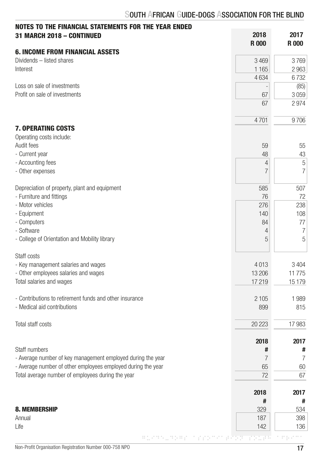| NOTES TO THE FINANCIAL STATEMENTS FOR THE YEAR ENDED<br>31 MARCH 2018 - CONTINUED | 2018              | 2017           |
|-----------------------------------------------------------------------------------|-------------------|----------------|
|                                                                                   | <b>R000</b>       | <b>R000</b>    |
| <b>6. INCOME FROM FINANCIAL ASSETS</b>                                            |                   |                |
| Dividends - listed shares                                                         | 3 4 6 9           | 3769           |
| Interest                                                                          | 1 1 6 5           | 2963           |
|                                                                                   | 4634              | 6732           |
| Loss on sale of investments<br>Profit on sale of investments                      |                   | (85)           |
|                                                                                   | 67<br>67          | 3059<br>2974   |
|                                                                                   |                   |                |
| <b>7. OPERATING COSTS</b>                                                         | 4701              | 9706           |
| Operating costs include:                                                          |                   |                |
| Audit fees                                                                        | 59                | 55             |
| - Current year                                                                    | 48                | 43             |
| - Accounting fees                                                                 | 4                 | $\sqrt{5}$     |
| - Other expenses                                                                  | 7                 | $\overline{7}$ |
| Depreciation of property, plant and equipment                                     | 585               | 507            |
| - Furniture and fittings                                                          | 76                | 72             |
| - Motor vehicles                                                                  | 276               | 238            |
| - Equipment                                                                       | 140               | 108            |
| - Computers                                                                       | 84                | 77             |
| - Software                                                                        | 4                 | $\overline{7}$ |
| - College of Orientation and Mobility library                                     | 5                 | 5              |
| Staff costs                                                                       |                   |                |
| - Key management salaries and wages                                               | 4013              | 3 4 0 4        |
| - Other employees salaries and wages                                              | 13 20 6           | 11775          |
| Total salaries and wages                                                          | 17 219            | 15 179         |
| - Contributions to retirement funds and other insurance                           | 2 1 0 5           | 1989           |
| - Medical aid contributions                                                       | 899               | 815            |
| Total staff costs                                                                 | 20 223            | 17983          |
|                                                                                   | 2018              | 2017           |
| Staff numbers                                                                     | #                 | #              |
| - Average number of key management employed during the year                       | 7                 | 7              |
| - Average number of other employees employed during the year                      | 65                | 60             |
| Total average number of employees during the year                                 | 72                | 67             |
|                                                                                   | 2018              | 2017           |
|                                                                                   | #                 | #              |
| <b>8. MEMBERSHIP</b>                                                              | 329               | 534            |
| Annual                                                                            | 187               | 398            |
| Life                                                                              | 142               | 136            |
| an san Janar Seringan ak                                                          | <b>CONTRACTOR</b> |                |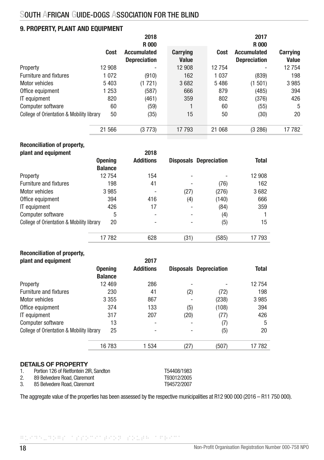#### 9. PROPERTY, PLANT AND EQUIPMENT

|                                           |         | 2018                |                 |         | 2017                |                 |
|-------------------------------------------|---------|---------------------|-----------------|---------|---------------------|-----------------|
|                                           |         | <b>R000</b>         |                 |         | <b>R000</b>         |                 |
|                                           | Cost    | Accumulated         | <b>Carrying</b> | Cost    | <b>Accumulated</b>  | <b>Carrying</b> |
|                                           |         | <b>Depreciation</b> | Value           |         | <b>Depreciation</b> | Value           |
| Property                                  | 12 908  |                     | 12 908          | 12754   |                     | 12754           |
| <b>Furniture and fixtures</b>             | 1 0 7 2 | (910)               | 162             | 1 0 3 7 | (839)               | 198             |
| Motor vehicles                            | 5 4 0 3 | (1721)              | 3682            | 5486    | (1 501)             | 3985            |
| Office equipment                          | 1 253   | (587)               | 666             | 879     | (485)               | 394             |
| IT equipment                              | 820     | (461)               | 359             | 802     | (376)               | 426             |
| Computer software                         | 60      | (59)                |                 | 60      | (55)                | 5               |
| College of Orientation & Mobility library | 50      | (35)                | 15              | 50      | (30)                | 20              |
|                                           | 21 566  | (3773)              | 17 793          | 21 068  | (3 286)             | 17782           |

# Reconciliation of property,

| plant and equipment                       |                | 2018             |      |                               |        |
|-------------------------------------------|----------------|------------------|------|-------------------------------|--------|
|                                           | <b>Opening</b> | <b>Additions</b> |      | <b>Disposals Depreciation</b> | Total  |
|                                           | <b>Balance</b> |                  |      |                               |        |
| Property                                  | 12754          | 154              |      |                               | 12 908 |
| <b>Furniture and fixtures</b>             | 198            | 41               |      | (76)                          | 162    |
| Motor vehicles                            | 3985           |                  | (27) | (276)                         | 3682   |
| Office equipment                          | 394            | 416              | (4)  | (140)                         | 666    |
| IT equipment                              | 426            | 17               | ٠    | (84)                          | 359    |
| Computer software                         | 5              |                  | -    | (4)                           |        |
| College of Orientation & Mobility library | 20             |                  |      | (5)                           | 15     |
|                                           | 17782          | 628              | (31) | (585)                         | 17 793 |

# Reconciliation of property,

|                                                 | 2017             |      |       |                               |
|-------------------------------------------------|------------------|------|-------|-------------------------------|
| <b>Opening</b>                                  | <b>Additions</b> |      |       | <b>Total</b>                  |
| <b>Balance</b>                                  |                  |      |       |                               |
| 12 469                                          | 286              | -    |       | 12754                         |
| 230                                             | 41               | (2)  | (72)  | 198                           |
| 3 3 5 5                                         | 867              |      | (238) | 3985                          |
| 374                                             | 133              | (5)  | (108) | 394                           |
| 317                                             | 207              | (20) | (77)  | 426                           |
| 13                                              |                  |      | (7)   | 5                             |
| College of Orientation & Mobility library<br>25 |                  |      | (5)   | 20                            |
| 16783                                           | 1 534            | (27) | (507) | 17 782                        |
|                                                 |                  |      |       | <b>Disposals Depreciation</b> |

#### DETAILS OF PROPERTY

| Portion 126 of Rietfontein 2IR, Sandton | T54408/1983 |
|-----------------------------------------|-------------|
| 89 Belvedere Road, Claremont            | T93012/2005 |
| 85 Belvedere Road, Claremont            | T94572/2007 |

The aggregate value of the properties has been assessed by the respective municipalities at R12 900 000 (2016 – R11 750 000).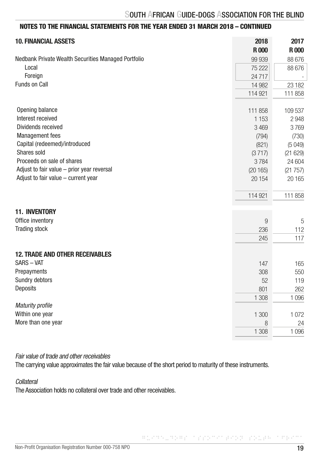| <b>10. FINANCIAL ASSETS</b>                         | 2018        | 2017     |
|-----------------------------------------------------|-------------|----------|
|                                                     | <b>R000</b> | R 000    |
| Nedbank Private Wealth Securities Managed Portfolio | 99 939      | 88 676   |
| Local                                               | 75 222      | 88 676   |
| Foreign                                             | 24717       |          |
| Funds on Call                                       | 14 982      | 23 182   |
|                                                     | 114 921     | 111 858  |
| Opening balance                                     | 111 858     | 109 537  |
| Interest received                                   | 1 1 5 3     | 2948     |
| Dividends received                                  | 3469        | 3769     |
| <b>Management fees</b>                              | (794)       | (730)    |
| Capital (redeemed)/introduced                       | (821)       | (5049)   |
| Shares sold                                         | (3717)      | (21629)  |
| Proceeds on sale of shares                          | 3784        | 24 604   |
| Adjust to fair value - prior year reversal          | (20165)     | (21 757) |
| Adjust to fair value - current year                 | 20 154      | 20 165   |
|                                                     |             |          |
|                                                     | 114 921     | 111 858  |
| <b>11. INVENTORY</b>                                |             |          |
| Office inventory                                    | 9           | 5        |
| <b>Trading stock</b>                                | 236         | 112      |
|                                                     | 245         | 117      |
| <b>12. TRADE AND OTHER RECEIVABLES</b>              |             |          |
| SARS - VAT                                          | 147         | 165      |
| Prepayments                                         | 308         | 550      |
| Sundry debtors                                      | 52          | 119      |
| Deposits                                            | 801         | 262      |
|                                                     | 1 3 0 8     | 1 0 9 6  |
| <b>Maturity profile</b>                             |             |          |
| Within one year                                     | 1 300       | 1072     |
| More than one year                                  | 8           | 24       |
|                                                     | 1 3 0 8     | 1 0 9 6  |
|                                                     |             |          |

## NOTES TO THE FINANCIAL STATEMENTS FOR THE YEAR ENDED 31 MARCH 2018 – CONTINUED

Fair value of trade and other receivables

The carrying value approximates the fair value because of the short period to maturity of these instruments.

#### Collateral

The Association holds no collateral over trade and other receivables.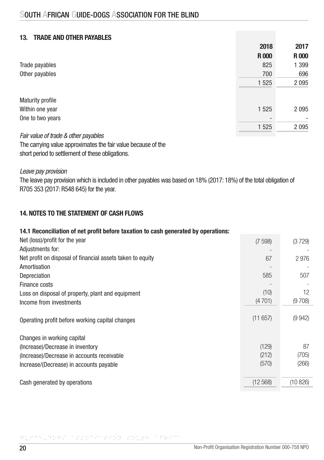#### 13. TRADE AND OTHER PAYABLES

|                                          | 2018        | 2017                     |
|------------------------------------------|-------------|--------------------------|
|                                          | <b>R000</b> | <b>R000</b>              |
| Trade payables                           | 825         | 1 3 9 9                  |
| Other payables                           | 700         | 696                      |
|                                          | 1 5 2 5     | 2 0 9 5                  |
|                                          |             |                          |
| <b>Maturity profile</b>                  |             |                          |
| Within one year                          | 1 5 2 5     | 2 0 9 5                  |
| One to two years                         |             | $\overline{\phantom{a}}$ |
|                                          | 1 5 2 5     | 2 0 9 5                  |
| Felix cells of the de 0 ethnic condition |             |                          |

*Fair value of trade & other payables* The carrying value approximates the fair value because of the short period to settlement of these obligations.

*Leave pay provision*

The leave pay provision which is included in other payables was based on 18% (2017: 18%) of the total obligation of R705 353 (2017: R548 645) for the year.

#### 14. NOTES TO THE STATEMENT OF CASH FLOWS

#### 14.1 Reconciliation of net profit before taxation to cash generated by operations:

| Net (loss)/profit for the year                             | (7598)  | (3729)  |
|------------------------------------------------------------|---------|---------|
| Adjustments for:                                           |         |         |
| Net profit on disposal of financial assets taken to equity | 67      | 2976    |
| Amortisation                                               |         |         |
| Depreciation                                               | 585     | 507     |
| Finance costs                                              |         |         |
| Loss on disposal of property, plant and equipment          | (10)    | 12      |
| Income from investments                                    | (4701)  | (9708)  |
|                                                            |         |         |
| Operating profit before working capital changes            | (11657) | (9942)  |
|                                                            |         |         |
| Changes in working capital                                 |         |         |
| (Increase)/Decrease in inventory                           | (129)   | 87      |
| (Increase)/Decrease in accounts receivable                 | (212)   | (705)   |
| Increase/(Decrease) in accounts payable                    | (570)   | (266)   |
|                                                            |         |         |
| Cash generated by operations                               | (12568) | (10826) |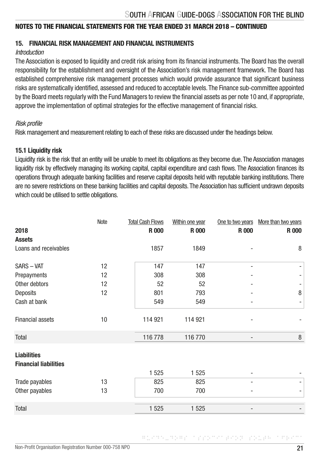### NOTES TO THE FINANCIAL STATEMENTS FOR THE YEAR ENDED 31 MARCH 2018 – CONTINUED

#### 15. FINANCIAL RISK MANAGEMENT AND FINANCIAL INSTRUMENTS

#### **Introduction**

The Association is exposed to liquidity and credit risk arising from its financial instruments. The Board has the overall responsibility for the establishment and oversight of the Association's risk management framework. The Board has established comprehensive risk management processes which would provide assurance that significant business risks are systematically identified, assessed and reduced to acceptable levels. The Finance sub-committee appointed by the Board meets regularly with the Fund Managers to review the financial assets as per note 10 and, if appropriate, approve the implementation of optimal strategies for the effective management of financial risks.

#### Risk profile

Risk management and measurement relating to each of these risks are discussed under the headings below.

#### 15.1 Liquidity risk

Liquidity risk is the risk that an entity will be unable to meet its obligations as they become due. The Association manages liquidity risk by effectively managing its working capital, capital expenditure and cash flows. The Association finances its operations through adequate banking facilities and reserve capital deposits held with reputable banking institutions. There are no severe restrictions on these banking facilities and capital deposits. The Association has sufficient undrawn deposits which could be utilised to settle obligations.

|                                                    | Note | <b>Total Cash Flows</b> | Within one year | One to two years             | More than two years |
|----------------------------------------------------|------|-------------------------|-----------------|------------------------------|---------------------|
| 2018                                               |      | <b>R000</b>             | <b>R000</b>     | <b>R000</b>                  | <b>R000</b>         |
| <b>Assets</b>                                      |      |                         |                 |                              |                     |
| Loans and receivables                              |      | 1857                    | 1849            |                              | 8                   |
| SARS - VAT                                         | 12   | 147                     | 147             | $\overline{\phantom{a}}$     |                     |
| Prepayments                                        | 12   | 308                     | 308             |                              |                     |
| Other debtors                                      | 12   | 52                      | 52              |                              |                     |
| Deposits                                           | 12   | 801                     | 793             |                              | 8                   |
| Cash at bank                                       |      | 549                     | 549             |                              |                     |
| <b>Financial assets</b>                            | 10   | 114 921                 | 114 921         |                              |                     |
| Total                                              |      | 116778                  | 116 770         |                              | 8                   |
| <b>Liabilities</b><br><b>Financial liabilities</b> |      |                         |                 |                              |                     |
|                                                    |      | 1 5 2 5                 | 1 525           |                              |                     |
| Trade payables                                     | 13   | 825                     | 825             | $\qquad \qquad \blacksquare$ |                     |
| Other payables                                     | 13   | 700                     | 700             |                              |                     |
| Total                                              |      | 1 5 2 5                 | 1 5 2 5         | $\overline{\phantom{a}}$     |                     |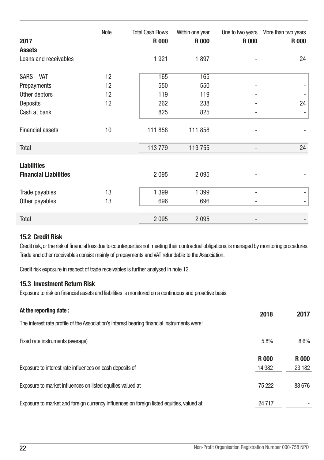| 2017<br><b>Assets</b>                              | Note | <b>Total Cash Flows</b><br><b>R000</b> | Within one year<br><b>R000</b> | One to two years<br><b>R000</b> | More than two years<br><b>R000</b> |
|----------------------------------------------------|------|----------------------------------------|--------------------------------|---------------------------------|------------------------------------|
| Loans and receivables                              |      | 1921                                   | 1897                           |                                 | 24                                 |
| SARS - VAT                                         | 12   | 165                                    | 165                            |                                 |                                    |
| Prepayments                                        | 12   | 550                                    | 550                            |                                 |                                    |
| Other debtors                                      | 12   | 119                                    | 119                            |                                 |                                    |
| Deposits                                           | 12   | 262                                    | 238                            |                                 | 24                                 |
| Cash at bank                                       |      | 825                                    | 825                            |                                 |                                    |
| <b>Financial assets</b>                            | 10   | 111 858                                | 111 858                        |                                 |                                    |
| Total                                              |      | 113779                                 | 113755                         | $\overline{\phantom{a}}$        | 24                                 |
| <b>Liabilities</b><br><b>Financial Liabilities</b> |      | 2 0 9 5                                | 2095                           |                                 |                                    |
| Trade payables                                     | 13   | 1 3 9 9                                | 1 3 9 9                        |                                 |                                    |
| Other payables                                     | 13   | 696                                    | 696                            |                                 |                                    |
|                                                    |      |                                        |                                |                                 |                                    |
| Total                                              |      | 2 0 9 5                                | 2 0 9 5                        |                                 |                                    |

### 15.2 Credit Risk

Credit risk, or the risk of financial loss due to counterparties not meeting their contractual obligations, is managed by monitoring procedures. Trade and other receivables consist mainly of prepayments and VAT refundable to the Association.

Credit risk exposure in respect of trade receivables is further analysed in note 12.

#### 15.3 Investment Return Risk

Exposure to risk on financial assets and liabilities is monitored on a continuous and proactive basis.

| At the reporting date:                                                                      | 2018        | 2017        |
|---------------------------------------------------------------------------------------------|-------------|-------------|
| The interest rate profile of the Association's interest bearing financial instruments were: |             |             |
| Fixed rate instruments (average)                                                            | 5.8%        | 8,6%        |
|                                                                                             | <b>R000</b> | <b>R000</b> |
| Exposure to interest rate influences on cash deposits of                                    | 14 982      | 23 182      |
| Exposure to market influences on listed equities valued at                                  | 75 222      | 88 676      |
| Exposure to market and foreign currency influences on foreign listed equities, valued at    | 24717       |             |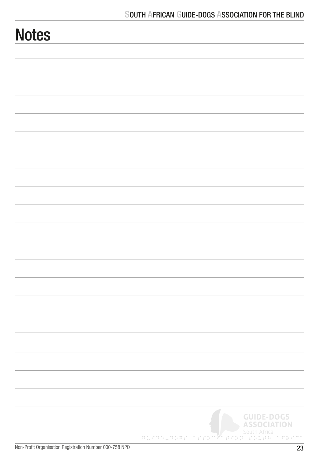| <b>Notes</b> |                                                                                                                            |
|--------------|----------------------------------------------------------------------------------------------------------------------------|
|              |                                                                                                                            |
|              |                                                                                                                            |
|              |                                                                                                                            |
|              |                                                                                                                            |
|              |                                                                                                                            |
|              |                                                                                                                            |
|              |                                                                                                                            |
|              |                                                                                                                            |
|              |                                                                                                                            |
|              |                                                                                                                            |
|              |                                                                                                                            |
|              |                                                                                                                            |
|              |                                                                                                                            |
|              |                                                                                                                            |
|              |                                                                                                                            |
|              |                                                                                                                            |
|              |                                                                                                                            |
|              |                                                                                                                            |
|              |                                                                                                                            |
|              |                                                                                                                            |
|              |                                                                                                                            |
|              |                                                                                                                            |
|              | GUIDE-DOGS<br>South Africa<br>South Africa<br>South Africa<br>South Africa<br>South Africa<br>South Africa<br>South Africa |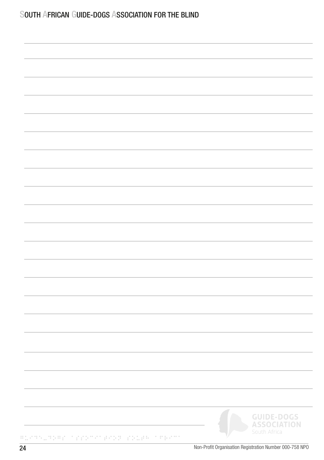| SOUTH AFRICAN GUIDE-DOGS ASSOCIATION FOR THE BLIND |  |
|----------------------------------------------------|--|
|----------------------------------------------------|--|

|                                                                                                                                                                 | <b>GUIDE-DOGS</b><br><b>ASSOCIATION</b><br>South Africa |
|-----------------------------------------------------------------------------------------------------------------------------------------------------------------|---------------------------------------------------------|
|                                                                                                                                                                 |                                                         |
|                                                                                                                                                                 |                                                         |
| $\frac{1}{2}$ , and $\frac{1}{2}$ , and $\frac{1}{2}$ , and $\frac{1}{2}$ , and $\frac{1}{2}$ , and $\frac{1}{2}$ , and $\frac{1}{2}$ , and $\frac{1}{2}$<br>÷÷ |                                                         |